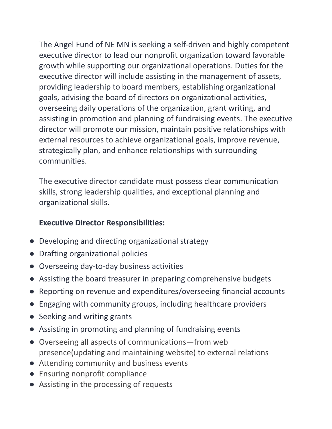The Angel Fund of NE MN is seeking a self-driven and highly competent executive director to lead our nonprofit organization toward favorable growth while supporting our organizational operations. Duties for the executive director will include assisting in the management of assets, providing leadership to board members, establishing organizational goals, advising the board of directors on organizational activities, overseeing daily operations of the organization, grant writing, and assisting in promotion and planning of fundraising events. The executive director will promote our mission, maintain positive relationships with external resources to achieve organizational goals, improve revenue, strategically plan, and enhance relationships with surrounding communities.

The executive director candidate must possess clear communication skills, strong leadership qualities, and exceptional planning and organizational skills.

## **Executive Director Responsibilities:**

- Developing and directing organizational strategy
- Drafting organizational policies
- Overseeing day-to-day business activities
- Assisting the board treasurer in preparing comprehensive budgets
- Reporting on revenue and expenditures/overseeing financial accounts
- Engaging with community groups, including healthcare providers
- Seeking and writing grants
- Assisting in promoting and planning of fundraising events
- Overseeing all aspects of communications—from web presence(updating and maintaining website) to external relations
- Attending community and business events
- Ensuring nonprofit compliance
- Assisting in the processing of requests